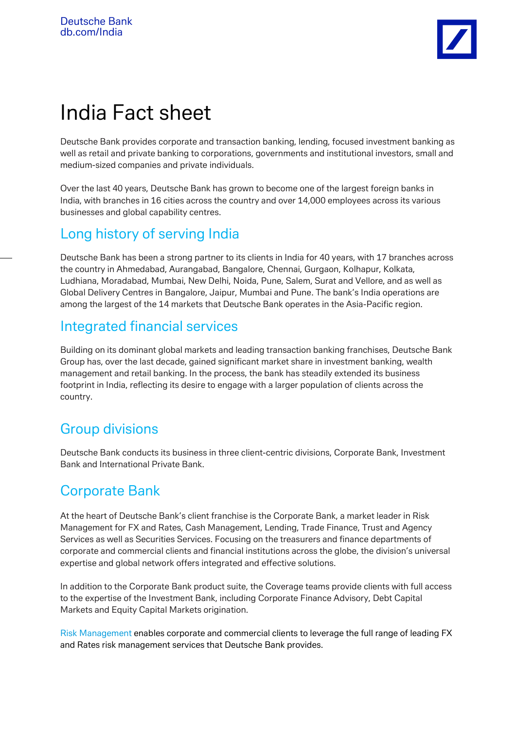# India Fact sheet

Deutsche Bank provides corporate and transaction banking, lending, focused investment banking as well as retail and private banking to corporations, governments and institutional investors, small and medium-sized companies and private individuals.

Over the last 40 years, Deutsche Bank has grown to become one of the largest foreign banks in India, with branches in 16 cities across the country and over 14,000 employees across its various businesses and global capability centres.

### Long history of serving India

Deutsche Bank has been a strong partner to its clients in India for 40 years, with 17 branches across the country in Ahmedabad, Aurangabad, Bangalore, Chennai, Gurgaon, Kolhapur, Kolkata, Ludhiana, Moradabad, Mumbai, New Delhi, Noida, Pune, Salem, Surat and Vellore, and as well as Global Delivery Centres in Bangalore, Jaipur, Mumbai and Pune. The bank's India operations are among the largest of the 14 markets that Deutsche Bank operates in the Asia-Pacific region.

### Integrated financial services

Building on its dominant global markets and leading transaction banking franchises, Deutsche Bank Group has, over the last decade, gained significant market share in investment banking, wealth management and retail banking. In the process, the bank has steadily extended its business footprint in India, reflecting its desire to engage with a larger population of clients across the country.

# Group divisions

Deutsche Bank conducts its business in three client-centric divisions, Corporate Bank, Investment Bank and International Private Bank.

# Corporate Bank

At the heart of Deutsche Bank's client franchise is the Corporate Bank, a market leader in Risk Management for FX and Rates, Cash Management, Lending, Trade Finance, Trust and Agency Services as well as Securities Services. Focusing on the treasurers and finance departments of corporate and commercial clients and financial institutions across the globe, the division's universal expertise and global network offers integrated and effective solutions.

In addition to the Corporate Bank product suite, the Coverage teams provide clients with full access to the expertise of the Investment Bank, including Corporate Finance Advisory, Debt Capital Markets and Equity Capital Markets origination.

Risk Management enables corporate and commercial clients to leverage the full range of leading FX and Rates risk management services that Deutsche Bank provides.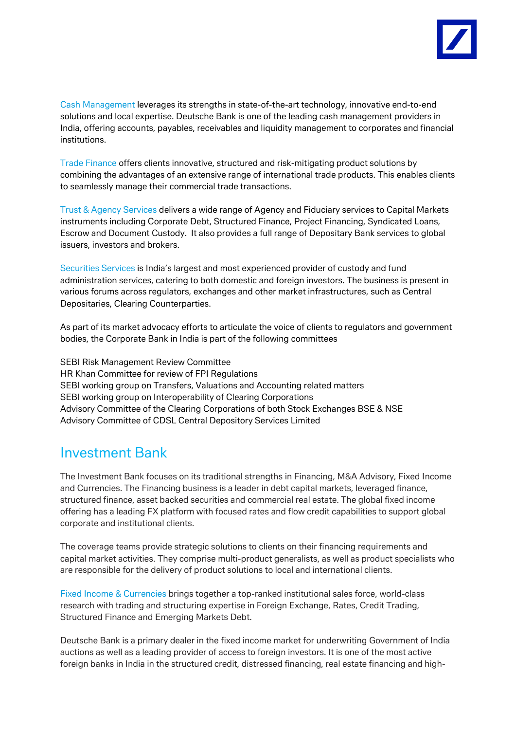

Cash Management leverages its strengths in state-of-the-art technology, innovative end-to-end solutions and local expertise. Deutsche Bank is one of the leading cash management providers in India, offering accounts, payables, receivables and liquidity management to corporates and financial institutions.

Trade Finance offers clients innovative, structured and risk-mitigating product solutions by combining the advantages of an extensive range of international trade products. This enables clients to seamlessly manage their commercial trade transactions.

Trust & Agency Services delivers a wide range of Agency and Fiduciary services to Capital Markets instruments including Corporate Debt, Structured Finance, Project Financing, Syndicated Loans, Escrow and Document Custody. It also provides a full range of Depositary Bank services to global issuers, investors and brokers.

Securities Services is India's largest and most experienced provider of custody and fund administration services, catering to both domestic and foreign investors. The business is present in various forums across regulators, exchanges and other market infrastructures, such as Central Depositaries, Clearing Counterparties.

As part of its market advocacy efforts to articulate the voice of clients to regulators and government bodies, the Corporate Bank in India is part of the following committees

SEBI Risk Management Review Committee HR Khan Committee for review of FPI Regulations SEBI working group on Transfers, Valuations and Accounting related matters SEBI working group on Interoperability of Clearing Corporations Advisory Committee of the Clearing Corporations of both Stock Exchanges BSE & NSE Advisory Committee of CDSL Central Depository Services Limited

#### Investment Bank

The Investment Bank focuses on its traditional strengths in Financing, M&A Advisory, Fixed Income and Currencies. The Financing business is a leader in debt capital markets, leveraged finance, structured finance, asset backed securities and commercial real estate. The global fixed income offering has a leading FX platform with focused rates and flow credit capabilities to support global corporate and institutional clients.

The coverage teams provide strategic solutions to clients on their financing requirements and capital market activities. They comprise multi-product generalists, as well as product specialists who are responsible for the delivery of product solutions to local and international clients.

Fixed Income & Currencies brings together a top-ranked institutional sales force, world-class research with trading and structuring expertise in Foreign Exchange, Rates, Credit Trading, Structured Finance and Emerging Markets Debt.

Deutsche Bank is a primary dealer in the fixed income market for underwriting Government of India auctions as well as a leading provider of access to foreign investors. It is one of the most active foreign banks in India in the structured credit, distressed financing, real estate financing and high-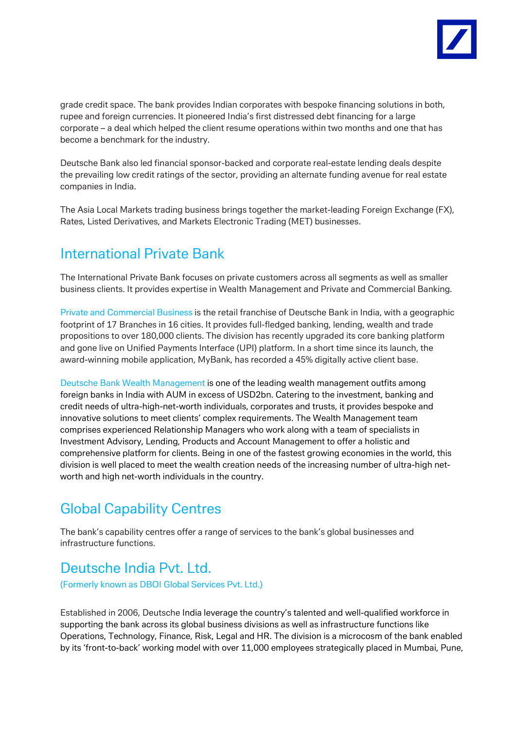

grade credit space. The bank provides Indian corporates with bespoke financing solutions in both, rupee and foreign currencies. It pioneered India's first distressed debt financing for a large corporate – a deal which helped the client resume operations within two months and one that has become a benchmark for the industry.

Deutsche Bank also led financial sponsor-backed and corporate real-estate lending deals despite the prevailing low credit ratings of the sector, providing an alternate funding avenue for real estate companies in India.

The Asia Local Markets trading business brings together the market-leading Foreign Exchange (FX), Rates, Listed Derivatives, and Markets Electronic Trading (MET) businesses.

### International Private Bank

The International Private Bank focuses on private customers across all segments as well as smaller business clients. It provides expertise in Wealth Management and Private and Commercial Banking.

Private and Commercial Business is the retail franchise of Deutsche Bank in India, with a geographic footprint of 17 Branches in 16 cities. It provides full-fledged banking, lending, wealth and trade propositions to over 180,000 clients. The division has recently upgraded its core banking platform and gone live on Unified Payments Interface (UPI) platform. In a short time since its launch, the award-winning mobile application, MyBank, has recorded a 45% digitally active client base.

Deutsche Bank Wealth Management is one of the leading wealth management outfits among foreign banks in India with AUM in excess of USD2bn. Catering to the investment, banking and credit needs of ultra-high-net-worth individuals, corporates and trusts, it provides bespoke and innovative solutions to meet clients' complex requirements. The Wealth Management team comprises experienced Relationship Managers who work along with a team of specialists in Investment Advisory, Lending, Products and Account Management to offer a holistic and comprehensive platform for clients. Being in one of the fastest growing economies in the world, this division is well placed to meet the wealth creation needs of the increasing number of ultra-high networth and high net-worth individuals in the country.

# Global Capability Centres

The bank's capability centres offer a range of services to the bank's global businesses and infrastructure functions.

### Deutsche India Pvt. Ltd.

(Formerly known as DBOI Global Services Pvt. Ltd.)

Established in 2006, Deutsche India leverage the country's talented and well-qualified workforce in supporting the bank across its global business divisions as well as infrastructure functions like Operations, Technology, Finance, Risk, Legal and HR. The division is a microcosm of the bank enabled by its 'front-to-back' working model with over 11,000 employees strategically placed in Mumbai, Pune,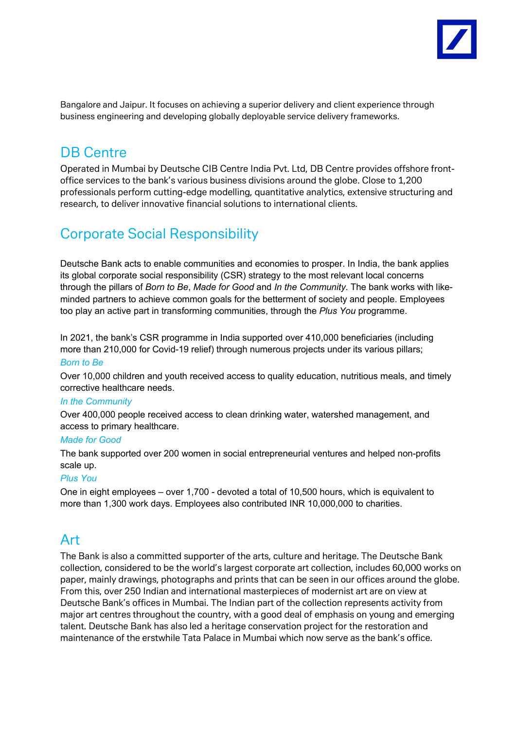

Bangalore and Jaipur. It focuses on achieving a superior delivery and client experience through business engineering and developing globally deployable service delivery frameworks.

### DB Centre

Operated in Mumbai by Deutsche CIB Centre India Pvt. Ltd, DB Centre provides offshore frontoffice services to the bank's various business divisions around the globe. Close to 1,200 professionals perform cutting-edge modelling, quantitative analytics, extensive structuring and research, to deliver innovative financial solutions to international clients.

## Corporate Social Responsibility

Deutsche Bank acts to enable communities and economies to prosper. In India, the bank applies its global corporate social responsibility (CSR) strategy to the most relevant local concerns through the pillars of *Born to Be*, *Made for Good* and *In the Community*. The bank works with likeminded partners to achieve common goals for the betterment of society and people. Employees too play an active part in transforming communities, through the *Plus You* programme.

In 2021, the bank's CSR programme in India supported over 410,000 beneficiaries (including more than 210,000 for Covid-19 relief) through numerous projects under its various pillars;

#### *Born to Be*

Over 10,000 children and youth received access to quality education, nutritious meals, and timely corrective healthcare needs.

#### *In the Community*

Over 400,000 people received access to clean drinking water, watershed management, and access to primary healthcare.

#### *Made for Good*

The bank supported over 200 women in social entrepreneurial ventures and helped non-profits scale up.

#### *Plus You*

One in eight employees – over 1,700 - devoted a total of 10,500 hours, which is equivalent to more than 1,300 work days. Employees also contributed INR 10,000,000 to charities.

#### Art

The Bank is also a committed supporter of the arts, culture and heritage. The Deutsche Bank collection, considered to be the world's largest corporate art collection, includes 60,000 works on paper, mainly drawings, photographs and prints that can be seen in our offices around the globe. From this, over 250 Indian and international masterpieces of modernist art are on view at Deutsche Bank's offices in Mumbai. The Indian part of the collection represents activity from major art centres throughout the country, with a good deal of emphasis on young and emerging talent. Deutsche Bank has also led a heritage conservation project for the restoration and maintenance of the erstwhile Tata Palace in Mumbai which now serve as the bank's office.